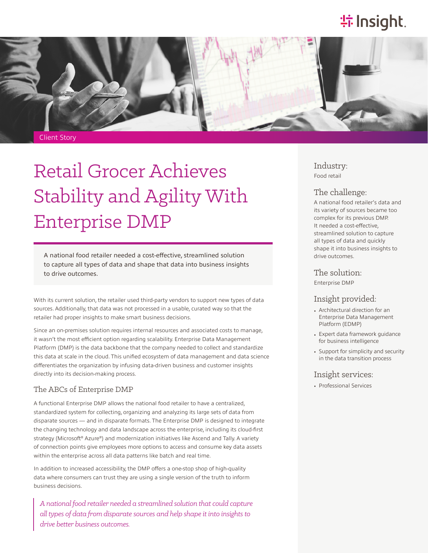# **特 Insight**.



# Retail Grocer Achieves Stability and Agility With Enterprise DMP

A national food retailer needed a cost-effective, streamlined solution to capture all types of data and shape that data into business insights to drive outcomes.

With its current solution, the retailer used third-party vendors to support new types of data sources. Additionally, that data was not processed in a usable, curated way so that the retailer had proper insights to make smart business decisions.

Since an on-premises solution requires internal resources and associated costs to manage, it wasn't the most efficient option regarding scalability. Enterprise Data Management Platform (DMP) is the data backbone that the company needed to collect and standardize this data at scale in the cloud. This unified ecosystem of data management and data science differentiates the organization by infusing data-driven business and customer insights directly into its decision-making process.

#### The ABCs of Enterprise DMP

A functional Enterprise DMP allows the national food retailer to have a centralized, standardized system for collecting, organizing and analyzing its large sets of data from disparate sources — and in disparate formats. The Enterprise DMP is designed to integrate the changing technology and data landscape across the enterprise, including its cloud-first strategy (Microsoft® Azure®) and modernization initiatives like Ascend and Tally. A variety of connection points give employees more options to access and consume key data assets within the enterprise across all data patterns like batch and real time.

In addition to increased accessibility, the DMP offers a one-stop shop of high-quality data where consumers can trust they are using a single version of the truth to inform business decisions.

*A national food retailer needed a streamlined solution that could capture all types of data from disparate sources and help shape it into insights to drive better business outcomes.*

### Industry:

Food retail

#### The challenge:

A national food retailer's data and its variety of sources became too complex for its previous DMP. It needed a cost-effective, streamlined solution to capture all types of data and quickly shape it into business insights to drive outcomes.

The solution: Enterprise DMP

#### Insight provided:

- Architectural direction for an Enterprise Data Management Platform (EDMP)
- Expert data framework guidance for business intelligence
- Support for simplicity and security in the data transition process

#### Insight services:

• Professional Services